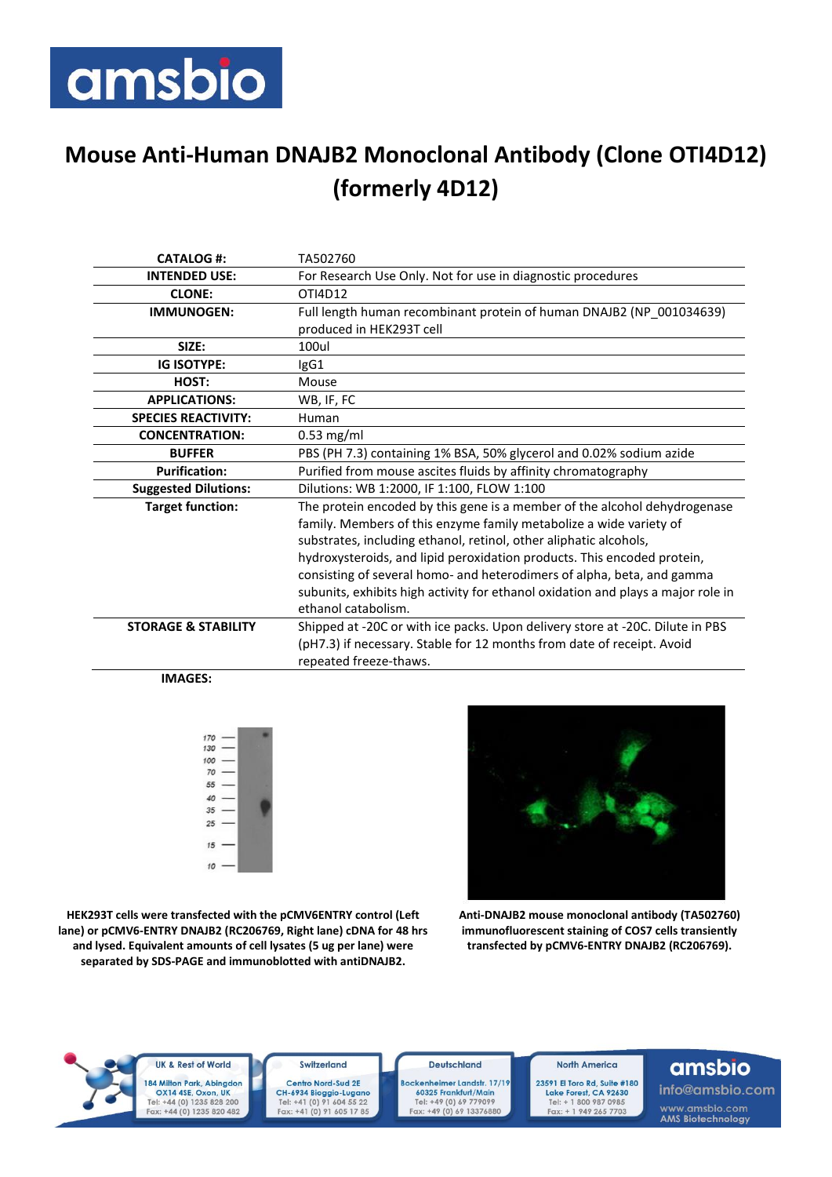## amsbio

## **Mouse Anti-Human DNAJB2 Monoclonal Antibody (Clone OTI4D12) (formerly 4D12)**

| <b>CATALOG#:</b>               | TA502760                                                                                                                                        |
|--------------------------------|-------------------------------------------------------------------------------------------------------------------------------------------------|
| <b>INTENDED USE:</b>           | For Research Use Only. Not for use in diagnostic procedures                                                                                     |
| <b>CLONE:</b>                  | OTI4D12                                                                                                                                         |
| <b>IMMUNOGEN:</b>              | Full length human recombinant protein of human DNAJB2 (NP_001034639)                                                                            |
|                                | produced in HEK293T cell                                                                                                                        |
| SIZE:                          | 100ul                                                                                                                                           |
| <b>IG ISOTYPE:</b>             | IgG1                                                                                                                                            |
| HOST:                          | Mouse                                                                                                                                           |
| <b>APPLICATIONS:</b>           | WB, IF, FC                                                                                                                                      |
| <b>SPECIES REACTIVITY:</b>     | Human                                                                                                                                           |
| <b>CONCENTRATION:</b>          | $0.53$ mg/ml                                                                                                                                    |
| <b>BUFFER</b>                  | PBS (PH 7.3) containing 1% BSA, 50% glycerol and 0.02% sodium azide                                                                             |
| <b>Purification:</b>           | Purified from mouse ascites fluids by affinity chromatography                                                                                   |
| <b>Suggested Dilutions:</b>    | Dilutions: WB 1:2000, IF 1:100, FLOW 1:100                                                                                                      |
| <b>Target function:</b>        | The protein encoded by this gene is a member of the alcohol dehydrogenase<br>family. Members of this enzyme family metabolize a wide variety of |
|                                | substrates, including ethanol, retinol, other aliphatic alcohols,                                                                               |
|                                | hydroxysteroids, and lipid peroxidation products. This encoded protein,                                                                         |
|                                | consisting of several homo- and heterodimers of alpha, beta, and gamma                                                                          |
|                                | subunits, exhibits high activity for ethanol oxidation and plays a major role in                                                                |
|                                | ethanol catabolism.                                                                                                                             |
| <b>STORAGE &amp; STABILITY</b> | Shipped at -20C or with ice packs. Upon delivery store at -20C. Dilute in PBS                                                                   |
|                                | (pH7.3) if necessary. Stable for 12 months from date of receipt. Avoid                                                                          |
|                                | repeated freeze-thaws.                                                                                                                          |
|                                |                                                                                                                                                 |

 **IMAGES:**



**HEK293T cells were transfected with the pCMV6ENTRY control (Left lane) or pCMV6-ENTRY DNAJB2 (RC206769, Right lane) cDNA for 48 hrs and lysed. Equivalent amounts of cell lysates (5 ug per lane) were separated by SDS-PAGE and immunoblotted with antiDNAJB2.**

**Anti-DNAJB2 mouse monoclonal antibody (TA502760) immunofluorescent staining of COS7 cells transiently transfected by pCMV6-ENTRY DNAJB2 (RC206769).**



**UK & Rest of World** 184 Milton Park, Abingdon 0X14 4SE, Oxon, UK<br>Tel: +44 (0) 1235 828 200<br>Fax: +44 (0) 1235 820 482

Switzerland Centro Nord-Sud 2E CH-6934 Bioggio-Lugano<br>Tel: +41 (0) 91 604 55 22<br>Fax: +41 (0) 91 605 17 85

**Deutschland** Bockenheimer Landstr. 17/19 60325 Frankfurt/Main Tel: +49 (0) 69 779099<br>Fax: +49 (0) 69 13376880

**North America** 

23591 El Toro Rd, Suite #180 Lake Forest, CA 92630<br>Tel: + 1 800 987 0985<br>Fax: + 1 949 265 7703

## amsbio

info@amsbio.com www.amsbio.com<br>AMS Biotechnology